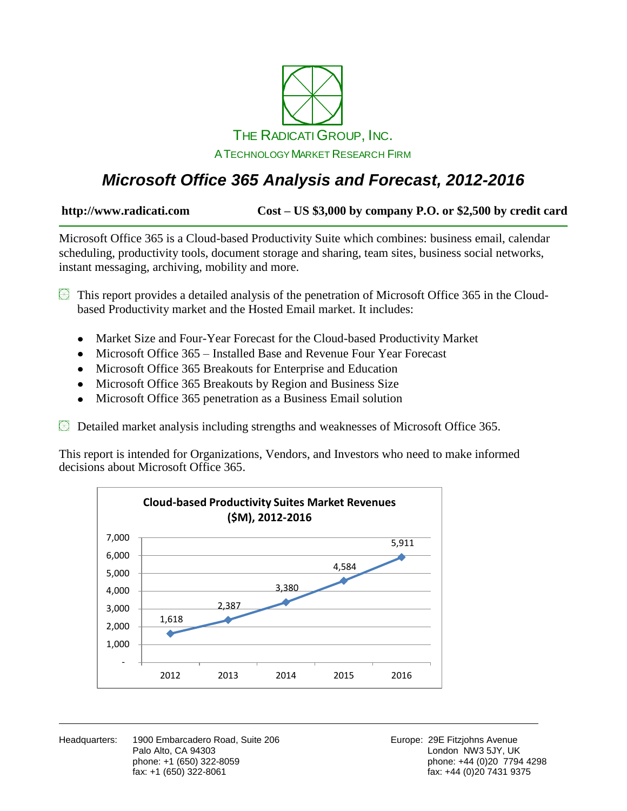

## *Microsoft Office 365 Analysis and Forecast, 2012-2016*

**http://www.radicati.com Cost – US \$3,000 by company P.O. or \$2,500 by credit card**

Microsoft Office 365 is a Cloud-based Productivity Suite which combines: business email, calendar scheduling, productivity tools, document storage and sharing, team sites, business social networks, instant messaging, archiving, mobility and more.

 $\Box$  This report provides a detailed analysis of the penetration of Microsoft Office 365 in the Cloudbased Productivity market and the Hosted Email market. It includes:

- Market Size and Four-Year Forecast for the Cloud-based Productivity Market  $\bullet$
- Microsoft Office 365 Installed Base and Revenue Four Year Forecast  $\bullet$
- Microsoft Office 365 Breakouts for Enterprise and Education
- Microsoft Office 365 Breakouts by Region and Business Size  $\bullet$
- Microsoft Office 365 penetration as a Business Email solution  $\bullet$

 $\boxplus$  Detailed market analysis including strengths and weaknesses of Microsoft Office 365.

This report is intended for Organizations, Vendors, and Investors who need to make informed decisions about Microsoft Office 365.



Headquarters: 1900 Embarcadero Road, Suite 206 **Europe: 29E Fitzjohns Avenue** Palo Alto, CA 94303 **Distribution CA 94303** London NW3 5JY, UK

phone: +1 (650) 322-8059 phone: +44 (0)20 7794 4298  $fax: +44 (0)20 7431 9375$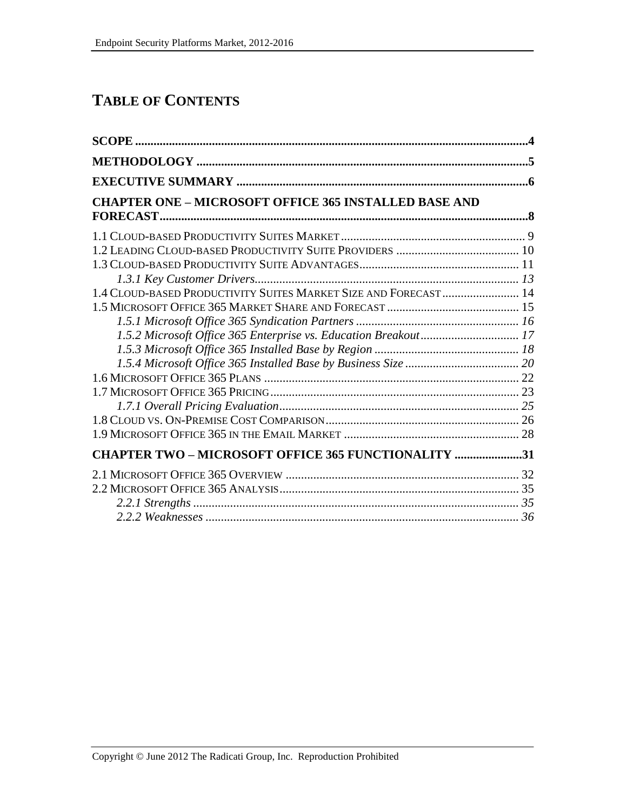## **TABLE OF CONTENTS**

| <b>CHAPTER ONE - MICROSOFT OFFICE 365 INSTALLED BASE AND</b>     |  |
|------------------------------------------------------------------|--|
|                                                                  |  |
|                                                                  |  |
|                                                                  |  |
|                                                                  |  |
| 1.4 CLOUD-BASED PRODUCTIVITY SUITES MARKET SIZE AND FORECAST  14 |  |
|                                                                  |  |
|                                                                  |  |
| 1.5.2 Microsoft Office 365 Enterprise vs. Education Breakout 17  |  |
|                                                                  |  |
|                                                                  |  |
|                                                                  |  |
|                                                                  |  |
|                                                                  |  |
|                                                                  |  |
|                                                                  |  |
| <b>CHAPTER TWO - MICROSOFT OFFICE 365 FUNCTIONALITY 31</b>       |  |
|                                                                  |  |
|                                                                  |  |
|                                                                  |  |
|                                                                  |  |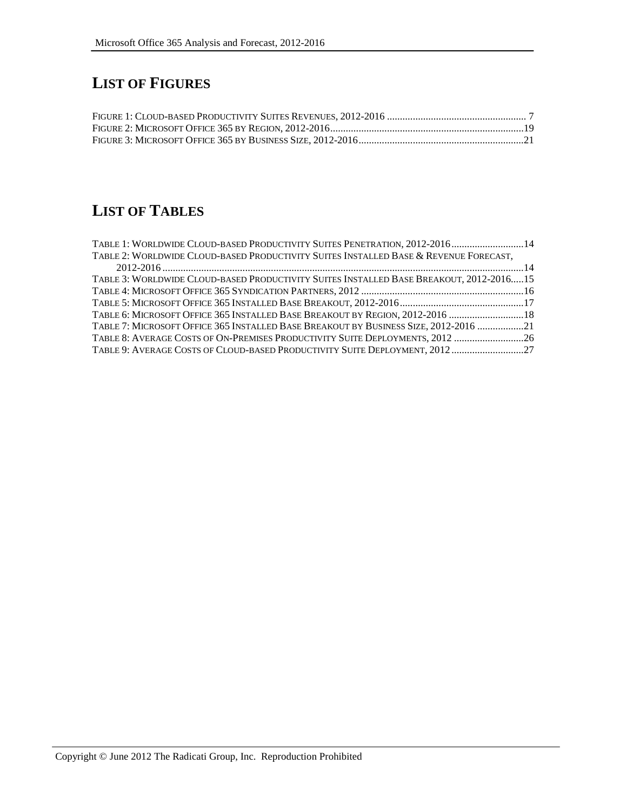# **LIST OF FIGURES**

### **LIST OF TABLES**

| TABLE 1: WORLDWIDE CLOUD-BASED PRODUCTIVITY SUITES PENETRATION, 2012-201614             |  |
|-----------------------------------------------------------------------------------------|--|
| TABLE 2: WORLDWIDE CLOUD-BASED PRODUCTIVITY SUITES INSTALLED BASE & REVENUE FORECAST,   |  |
|                                                                                         |  |
| TABLE 3: WORLDWIDE CLOUD-BASED PRODUCTIVITY SUITES INSTALLED BASE BREAKOUT, 2012-201615 |  |
|                                                                                         |  |
|                                                                                         |  |
| TABLE 6: MICROSOFT OFFICE 365 INSTALLED BASE BREAKOUT BY REGION, 2012-2016 18           |  |
| TABLE 7: MICROSOFT OFFICE 365 INSTALLED BASE BREAKOUT BY BUSINESS SIZE, 2012-2016 21    |  |
| TABLE 8: AVERAGE COSTS OF ON-PREMISES PRODUCTIVITY SUITE DEPLOYMENTS, 2012 26           |  |
| TABLE 9: AVERAGE COSTS OF CLOUD-BASED PRODUCTIVITY SUITE DEPLOYMENT, 2012 27            |  |